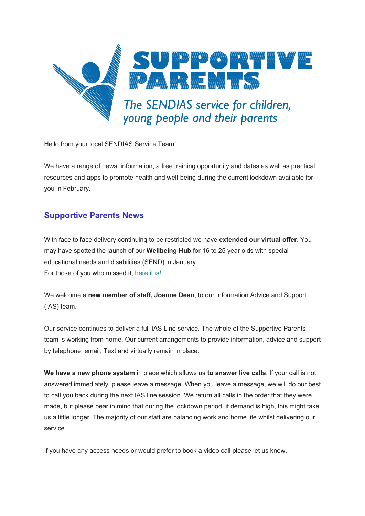

Hello from your local SENDIAS Service Team!

We have a range of news, information, a free training opportunity and dates as well as practical resources and apps to promote health and well-being during the current lockdown available for you in February.

# **Supportive Parents News**

With face to face delivery continuing to be restricted we have **extended our virtual offer**. You may have spotted the launch of our **Wellbeing Hub** for 16 to 25 year olds with special educational needs and disabilities (SEND) in January. For those of you who missed it, [here it is!](https://www.supportiveparents.org.uk/young-people-16-25/virtual-hub/)

We welcome a **new member of staff, Joanne Dean**, to our Information Advice and Support (IAS) team.

Our service continues to deliver a full IAS Line service. The whole of the Supportive Parents team is working from home. Our current arrangements to provide information, advice and support by telephone, email, Text and virtually remain in place.

**We have a new phone system** in place which allows us **to answer live calls**. If your call is not answered immediately, please leave a message. When you leave a message, we will do our best to call you back during the next IAS line session. We return all calls in the order that they were made, but please bear in mind that during the lockdown period, if demand is high, this might take us a little longer. The majority of our staff are balancing work and home life whilst delivering our service.

If you have any access needs or would prefer to book a video call please let us know.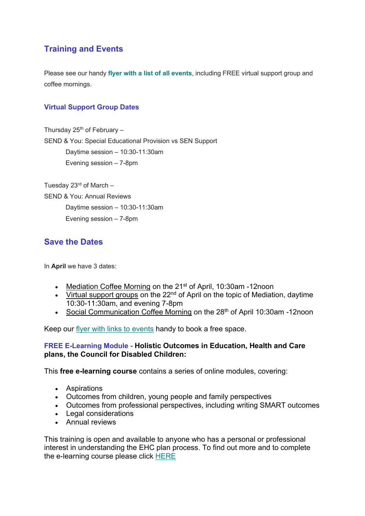# **Training and Events**

Please see our handy **[flyer with a list of all events](https://www.supportiveparents.org.uk/wp-content/uploads/2021/02/SG-2021-ALL-Events-w_-hyperlinks-1.pdf)**, including FREE virtual support group and coffee mornings.

## **Virtual Support Group Dates**

Thursday  $25<sup>th</sup>$  of February – SEND & You: Special Educational Provision vs SEN Support Daytime session – 10:30-11:30am Evening session – 7-8pm

Tuesday 23 $rd$  of March  $-$ SEND & You: Annual Reviews Daytime session – 10:30-11:30am Evening session – 7-8pm

# **Save the Dates**

In **April** we have 3 dates:

- Mediation Coffee Morning on the 21<sup>st</sup> of April, 10:30am -12noon
- Virtual support groups on the 22<sup>nd</sup> of April on the topic of Mediation, daytime 10:30-11:30am, and evening 7-8pm
- Social Communication Coffee Morning on the 28<sup>th</sup> of April 10:30am -12noon

Keep our [flyer with links to events](https://www.supportiveparents.org.uk/wp-content/uploads/2021/02/SG-2021-ALL-Events-w_-hyperlinks-1.pdf) handy to book a free space.

### **FREE E-Learning Module - Holistic Outcomes in Education, Health and Care plans, the Council for Disabled Children:**

This **free e-learning course** contains a series of online modules, covering:

- Aspirations
- Outcomes from children, young people and family perspectives
- Outcomes from professional perspectives, including writing SMART outcomes
- Legal considerations
- Annual reviews

This training is open and available to anyone who has a personal or professional interest in understanding the EHC plan process. To find out more and to complete the e-learning course please click [HERE](https://councilfordisabledchildren.org.uk/news-opinion/news/new-cdc-e-learning-course-holistic-outcomes-ehc-plans?mc_cid=d691aff1f7&mc_eid=fac0205ef2&utm_source=CDC+Newsletters&utm_campaign=cf4d38164f-EMAIL_CAMPAIGN_2019_09_26_10_30_COPY_02&utm_medium=email&utm_term=0_14015fa80f-cf4d38164f-321726894&mc_cid=cf4d38164f&mc_eid=8ba5e77599)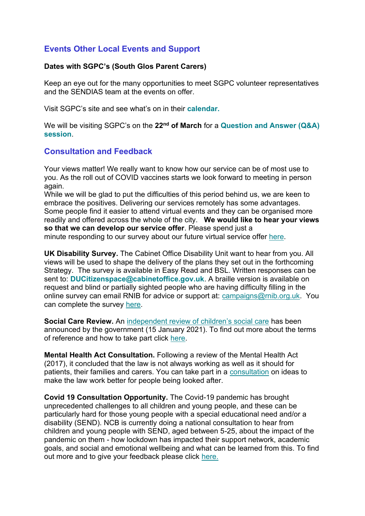# **Events Other Local Events and Support**

### **Dates with SGPC's (South Glos Parent Carers)**

Keep an eye out for the many opportunities to meet SGPC volunteer representatives and the SENDIAS team at the events on offer.

Visit SGPC's site and see what's on in their **[calendar.](https://www.sglospc.org.uk/calendar)**

We will be visiting SGPC's on the **22nd of March** for a **[Question and Answer \(Q&A\)](https://www.sglospc.org.uk/calendar/supportiveparents-29blg-35tgy)  [session](https://www.sglospc.org.uk/calendar/supportiveparents-29blg-35tgy)**.

## **Consultation and Feedback**

Your views matter! We really want to know how our service can be of most use to you. As the roll out of COVID vaccines starts we look forward to meeting in person again.

While we will be glad to put the difficulties of this period behind us, we are keen to embrace the positives. Delivering our services remotely has some advantages. Some people find it easier to attend virtual events and they can be organised more readily and offered across the whole of the city. **We would like to hear your views so that we can develop our service offer**. Please spend just a minute responding to our survey about our future virtual service offer [here.](https://www.surveymonkey.co.uk/r/SPservicespostlockdown)

**UK Disability Survey.** The Cabinet Office Disability Unit want to hear from you. All views will be used to shape the delivery of the plans they set out in the forthcoming Strategy. The survey is available in Easy Read and BSL. Written responses can be sent to: **[DUCitizenspace@cabinetoffice.gov.uk](mailto:DUCitizenspace@cabinetoffice.gov.uk)**. A braille version is available on request and blind or partially sighted people who are having difficulty filling in the online survey can email RNIB for advice or support at: [campaigns@rnib.org.uk.](mailto:campaigns@rnib.org.uk) You can complete the survey [here.](https://disabilityunit.citizenspace.com/cabinet-office/ukdisabilitysurvey/)

**Social Care Review.** An [independent review of children's social care](https://www.gov.uk/government/groups/independent-review-of-childrens-social-care) has been announced by the government (15 January 2021). To find out more about the terms of reference and how to take part click [here.](https://www.gov.uk/government/groups/independent-review-of-childrens-social-care)

**Mental Health Act Consultation.** Following a review of the Mental Health Act (2017), it concluded that the law is not always working as well as it should for patients, their families and carers. You can take part in a [consultation](https://www.gov.uk/government/consultations/reforming-the-mental-health-act) on ideas to make the law work better for people being looked after.

**Covid 19 Consultation Opportunity.** The Covid-19 pandemic has brought unprecedented challenges to all children and young people, and these can be particularly hard for those young people with a special educational need and/or a disability (SEND). NCB is currently doing a national consultation to hear from children and young people with SEND, aged between 5-25, about the impact of the pandemic on them - how lockdown has impacted their support network, academic goals, and social and emotional wellbeing and what can be learned from this. To find out more and to give your feedback please click [here.](https://councilfordisabledchildren.org.uk/news-opinion/news/covid-19-consultation-opportunity)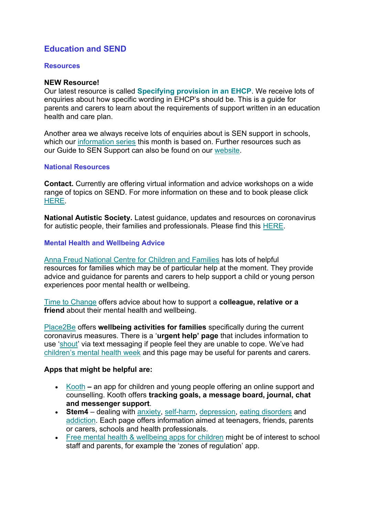# **Education and SEND**

#### **Resources**

#### **NEW Resource!**

Our latest resource is called **[Specifying provision in an EHCP](https://www.supportiveparents.org.uk/wp-content/uploads/2021/01/Specifying-provision-in-an-EHC-Plan.pdf)**. We receive lots of enquiries about how specific wording in EHCP's should be. This is a guide for parents and carers to learn about the requirements of support written in an education health and care plan.

Another area we always receive lots of enquiries about is SEN support in schools, which our [information series](https://www.supportiveparents.org.uk/resources/information-series/) this month is based on. Further resources such as our Guide to SEN Support can also be found on our [website.](https://www.supportiveparents.org.uk/wp-content/uploads/2020/02/3-SEN-Support-Bristol.pdf)

#### **National Resources**

**Contact.** Currently are offering virtual information and advice workshops on a wide range of topics on SEND. For more information on these and to book please click [HERE.](https://www.contact.org.uk/help-for-families/family-workshops-events/)

**National Autistic Society.** Latest guidance, updates and resources on coronavirus for autistic people, their families and professionals. Please find this [HERE.](https://www.autism.org.uk/advice-and-guidance/topics/coronavirus)

#### **Mental Health and Wellbeing Advice**

[Anna Freud National Centre for Children and Families](https://www.annafreud.org/parents-and-carers/) has lots of helpful resources for families which may be of particular help at the moment. They provide advice and guidance for parents and carers to help support a child or young person experiences poor mental health or wellbeing.

Time to [Change](https://www.time-to-change.org.uk/about-mental-health/support-someone) offers advice about how to support a **colleague, relative or a friend** about their mental health and wellbeing.

[Place2Be](https://www.place2be.org.uk/our-services/parents-and-carers/coronavirus-wellbeing-activity-ideas-for-families/) offers **wellbeing activities for families** specifically during the current coronavirus measures. There is a '**urgent help' page** that includes information to use '[shout](https://giveusashout.org/)' via text messaging if people feel they are unable to cope. We've had [children's mental health week](https://www.childrensmentalhealthweek.org.uk/parents-and-carers/) and this page may be useful for parents and carers.

### **Apps that might be helpful are:**

- [Kooth](https://www.kooth.com/) **–** an app for children and young people offering an online support and counselling. Kooth offers **tracking goals, a message board, journal, chat and messenger support**.
- **Stem4** dealing with [anxiety,](https://stem4.org.uk/anxiety/) [self-harm,](https://stem4.org.uk/self-harm/) [depression,](https://stem4.org.uk/depression/) [eating disorders](https://stem4.org.uk/eating-disorders/) and [addiction.](https://stem4.org.uk/addiction/) Each page offers information aimed at teenagers, friends, parents or carers, schools and health professionals.
- [Free mental health & wellbeing apps for children](https://www.educationalappstore.com/best-apps/5-best-mental-health-and-wellbeing-apps-for-kids) might be of interest to school staff and parents, for example the 'zones of regulation' app.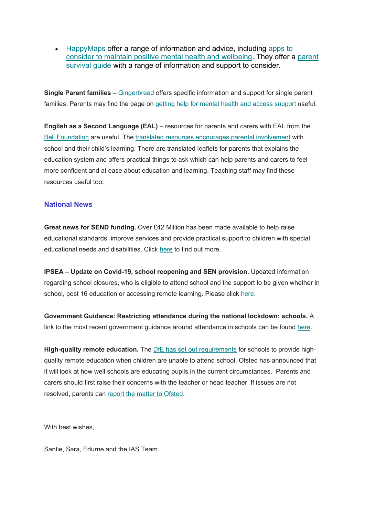• [HappyMaps](https://www.happymaps.co.uk/) offer a range of information and advice, including apps to [consider to maintain positive mental health and wellbeing.](https://www.happymaps.co.uk/age-group/self-help-for-young-people2/best-apps-for-mental-health) They offer a [parent](https://www.happymaps.co.uk/help-directory/looking-after-yourself-and-your-family)  [survival guide](https://www.happymaps.co.uk/help-directory/looking-after-yourself-and-your-family) with a range of information and support to consider.

**Single Parent families** – [Gingerbread](https://www.gingerbread.org.uk/) offers specific information and support for single parent families. Parents may find the page on [getting help for mental health and access support](https://www.mentalhealth.org.uk/getting-help) useful.

**English as a Second Language (EAL)** – resources for parents and carers with EAL from the [Bell Foundation](https://www.bell-foundation.org.uk/) are useful. The [translated resources encourages parental involvement](https://www.bell-foundation.org.uk/eal-programme/guidance/parental-involvement/) with school and their child's learning. There are translated leaflets for parents that explains the education system and offers practical things to ask which can help parents and carers to feel more confident and at ease about education and learning. Teaching staff may find these resources useful too.

#### **National News**

**Great news for SEND funding.** Over £42 Million has been made available to help raise educational standards, improve services and provide practical support to children with special educational needs and disabilities. Click [here](https://councilfordisabledchildren.org.uk/news-opinion/news/over-%C2%A342-million-support-extended-children-send) to find out more.

**IPSEA – Update on Covid-19, school reopening and SEN provision.** Updated information regarding school closures, who is eligible to attend school and the support to be given whether in school, post 16 education or accessing remote learning. Please click [here.](https://www.ipsea.org.uk/news/ipsea-update-on-covid-19-school-closures-and-sen-provision)

**Government Guidance: Restricting attendance during the national lockdown: schools.** A link to the most recent government guidance around attendance in schools can be found [here.](https://assets.publishing.service.gov.uk/government/uploads/system/uploads/attachment_data/file/958906/Restricting_attendance_during_the_national_lockdown_schools_guidance.pdf)

**High-quality remote education.** The DfE [has set out requirements](https://www.gov.uk/government/publications/actions-for-schools-during-the-coronavirus-outbreak) for schools to provide highquality remote education when children are unable to attend school. Ofsted has announced that it will look at how well schools are educating pupils in the current circumstances. Parents and carers should first raise their concerns with the teacher or head teacher. If issues are not resolved, parents can [report the matter to Ofsted.](https://contact.ofsted.gov.uk/online-complaints)

With best wishes,

Santie, Sara, Edurne and the IAS Team